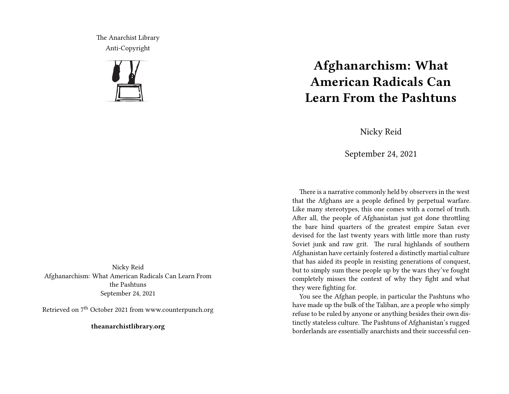The Anarchist Library Anti-Copyright



Nicky Reid Afghanarchism: What American Radicals Can Learn From the Pashtuns September 24, 2021

Retrieved on 7th October 2021 from www.counterpunch.org

**theanarchistlibrary.org**

## **Afghanarchism: What American Radicals Can Learn From the Pashtuns**

Nicky Reid

September 24, 2021

There is a narrative commonly held by observers in the west that the Afghans are a people defined by perpetual warfare. Like many stereotypes, this one comes with a cornel of truth. After all, the people of Afghanistan just got done throttling the bare hind quarters of the greatest empire Satan ever devised for the last twenty years with little more than rusty Soviet junk and raw grit. The rural highlands of southern Afghanistan have certainly fostered a distinctly martial culture that has aided its people in resisting generations of conquest, but to simply sum these people up by the wars they've fought completely misses the context of why they fight and what they were fighting for.

You see the Afghan people, in particular the Pashtuns who have made up the bulk of the Taliban, are a people who simply refuse to be ruled by anyone or anything besides their own distinctly stateless culture. The Pashtuns of Afghanistan's rugged borderlands are essentially anarchists and their successful cen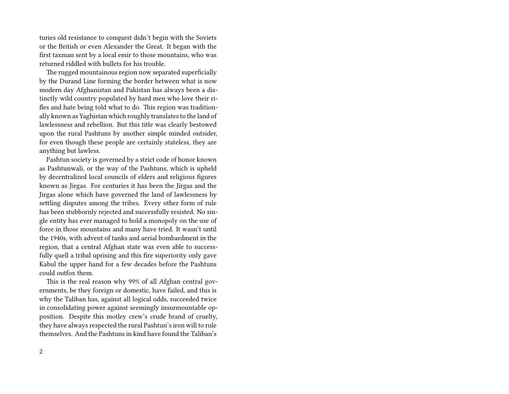turies old resistance to conquest didn't begin with the Soviets or the British or even Alexander the Great. It began with the first taxman sent by a local emir to those mountains, who was returned riddled with bullets for his trouble.

The rugged mountainous region now separated superficially by the Durand Line forming the border between what is now modern day Afghanistan and Pakistan has always been a distinctly wild country populated by hard men who love their rifles and hate being told what to do. This region was traditionally known as Yaghistan which roughly translates to the land of lawlessness and rebellion. But this title was clearly bestowed upon the rural Pashtuns by another simple minded outsider, for even though these people are certainly stateless, they are anything but lawless.

Pashtun society is governed by a strict code of honor known as Pashtunwali, or the way of the Pashtuns, which is upheld by decentralized local councils of elders and religious figures known as Jirgas. For centuries it has been the Jirgas and the Jirgas alone which have governed the land of lawlessness by settling disputes among the tribes. Every other form of rule has been stubbornly rejected and successfully resisted. No single entity has ever managed to hold a monopoly on the use of force in those mountains and many have tried. It wasn't until the 1940s, with advent of tanks and aerial bombardment in the region, that a central Afghan state was even able to successfully quell a tribal uprising and this fire superiority only gave Kabul the upper hand for a few decades before the Pashtuns could outfox them.

This is the real reason why 99% of all Afghan central governments, be they foreign or domestic, have failed, and this is why the Taliban has, against all logical odds, succeeded twice in consolidating power against seemingly insurmountable opposition. Despite this motley crew's crude brand of cruelty, they have always respected the rural Pashtun's iron will to rule themselves. And the Pashtuns in kind have found the Taliban's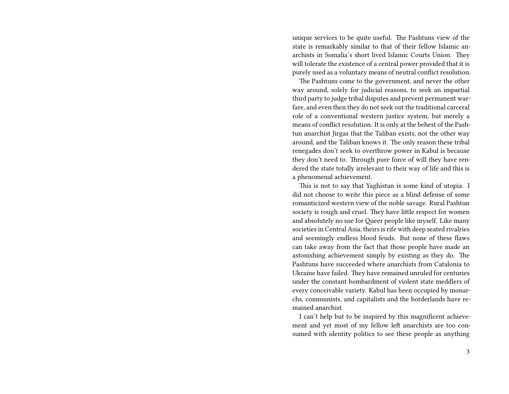unique services to be quite useful. The Pashtuns view of the state is remarkably similar to that of their fellow Islamic anarchists in Somalia's short lived Islamic Courts Union. They will tolerate the existence of a central power provided that it is purely used as a voluntary means of neutral conflict resolution.

The Pashtuns come to the government, and never the other way around, solely for judicial reasons, to seek an impartial third party to judge tribal disputes and prevent permanent warfare, and even then they do not seek out the traditional carceral role of a conventional western justice system, but merely a means of conflict resolution. It is only at the behest of the Pashtun anarchist Jirgas that the Taliban exists, not the other way around, and the Taliban knows it. The only reason these tribal renegades don't seek to overthrow power in Kabul is because they don't need to. Through pure force of will they have rendered the state totally irrelevant to their way of life and this is a phenomenal achievement.

This is not to say that Yaghistan is some kind of utopia. I did not choose to write this piece as a blind defense of some romanticized western view of the noble savage. Rural Pashtun society is rough and cruel. They have little respect for women and absolutely no use for Queer people like myself. Like many societies in Central Asia, theirs is rife with deep seated rivalries and seemingly endless blood feuds. But none of these flaws can take away from the fact that those people have made an astonishing achievement simply by existing as they do. The Pashtuns have succeeded where anarchists from Catalonia to Ukraine have failed. They have remained unruled for centuries under the constant bombardment of violent state meddlers of every conceivable variety. Kabul has been occupied by monarchs, communists, and capitalists and the borderlands have remained anarchist.

I can't help but to be inspired by this magnificent achievement and yet most of my fellow left anarchists are too consumed with identity politics to see these people as anything